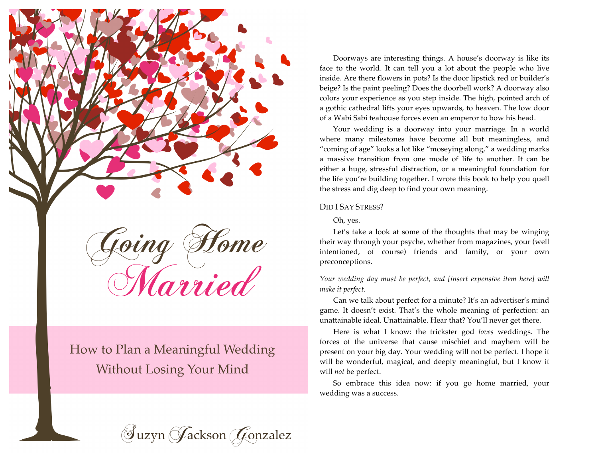

How to Plan a Meaningful Wedding **Without Losing Your Mind** 

Doorways are interesting things. A house's doorway is like its face to the world. It can tell you a lot about the people who live inside. Are there flowers in pots? Is the door lipstick red or builder's beige? Is the paint peeling? Does the doorbell work? A doorway also colors your experience as you step inside. The high, pointed arch of a gothic cathedral lifts your eyes upwards, to heaven. The low door of a Wabi Sabi teahouse forces even an emperor to bow his head.

Your wedding is a doorway into your marriage. In a world where many milestones have become all but meaningless, and "coming of age" looks a lot like "moseying along," a wedding marks a massive transition from one mode of life to another. It can be either a huge, stressful distraction, or a meaningful foundation for the life you're building together. I wrote this book to help you quell the stress and dig deep to find your own meaning.

### DID I SAY STRESS?

#### Oh, yes.

Let's take a look at some of the thoughts that may be winging their way through your psyche, whether from magazines, your (well intentioned, of course) friends and family, or your own preconceptions.

*Your wedding day must be perfect, and [insert expensive item here] will make it perfect.*

Can we talk about perfect for a minute? It's an advertiser's mind game. It doesn't exist. That's the whole meaning of perfection: an unattainable ideal. Unattainable. Hear that? You'll never get there.

Here is what I know: the trickster god *loves* weddings. The forces of the universe that cause mischief and mayhem will be present on your big day. Your wedding will not be perfect. I hope it will be wonderful, magical, and deeply meaningful, but I know it will *not* be perfect.

So embrace this idea now: if you go home married, your wedding was a success.

 $\mathcal G$ uzyn  $\mathcal G$ ackson  $\mathcal G$ onzalez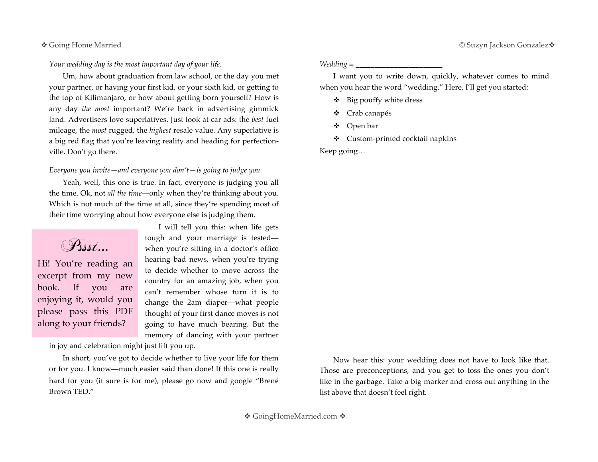*Your wedding day is the most important day of your life.*

Um, how about graduation from law school, or the day you met your partner, or having your first kid, or your sixth kid, or getting to the top of Kilimanjaro, or how about getting born yourself? How is any day *the most* important? We're back in advertising gimmick land. Advertisers love superlatives. Just look at car ads: the *best* fuel mileage, the *most* rugged, the *highest* resale value. Any superlative is a big red flag that you're leaving reality and heading for perfectionville. Don't go there.

# *Everyone you invite—and everyone you don't—is going to judge you.*

Yeah, well, this one is true. In fact, everyone is judging you all the time. Ok, not *all the time*—only when they're thinking about you. Which is not much of the time at all, since they're spending most of their time worrying about how everyone else is judging them.

Pssst…

Hi! You're reading an excerpt from my new book. If you are enjoying it, would you please pass this PDF along to your friends?

I will tell you this: when life gets tough and your marriage is tested when you're sitting in a doctor's office hearing bad news, when you're trying to decide whether to move across the country for an amazing job, when you can't remember whose turn it is to change the 2am diaper—what people thought of your first dance moves is not going to have much bearing. But the memory of dancing with your partner

in joy and celebration might just lift you up.

In short, you've got to decide whether to live your life for them or for you. I know—much easier said than done! If this one is really hard for you (it sure is for me), please go now and google "Brené Brown TED."

*Wedding = \_\_\_\_\_\_\_\_\_\_\_\_\_\_\_\_\_\_\_\_\_\_\_*

I want you to write down, quickly, whatever comes to mind when you hear the word "wedding." Here, I'll get you started:

- $\div$  Big pouffy white dress
- Crab canapés
- Open bar
- Custom-printed cocktail napkins

Keep going…

Now hear this: your wedding does not have to look like that. Those are preconceptions, and you get to toss the ones you don't like in the garbage. Take a big marker and cross out anything in the list above that doesn't feel right.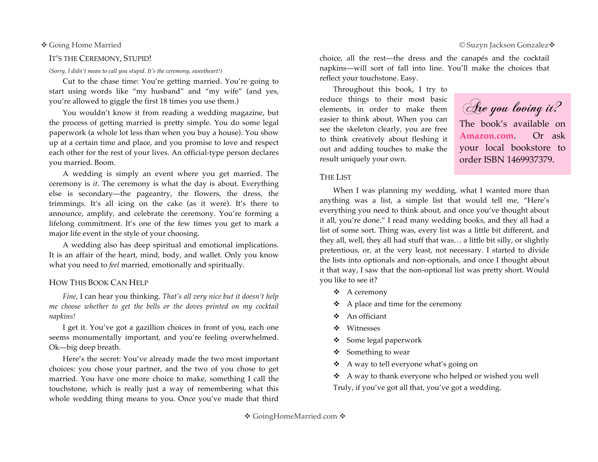### IT'S THE CEREMONY, STUPID!

*(Sorry, I didn't mean to call you stupid. It's the ceremony, sweetheart!)*

Cut to the chase time: You're getting married. You're going to start using words like "my husband" and "my wife" (and yes, you're allowed to giggle the first 18 times you use them.)

You wouldn't know it from reading a wedding magazine, but the process of getting married is pretty simple. You do some legal paperwork (a whole lot less than when you buy a house). You show up at a certain time and place, and you promise to love and respect each other for the rest of your lives. An official-type person declares you married. Boom.

A wedding is simply an event where you get married. The ceremony is *it*. The ceremony is what the day is about. Everything else is secondary—the pageantry, the flowers, the dress, the trimmings. It's all icing on the cake (as it were). It's there to announce, amplify, and celebrate the ceremony. You're forming a lifelong commitment. It's one of the few times you get to mark a major life event in the style of your choosing.

A wedding also has deep spiritual and emotional implications. It is an affair of the heart, mind, body, and wallet. Only you know what you need to *feel* married, emotionally and spiritually.

### HOW THIS BOOK CAN HELP

*Fine*, I can hear you thinking. *That's all very nice but it doesn't help me choose whether to get the bells or the doves printed on my cocktail napkins!*

I get it. You've got a gazillion choices in front of you, each one seems monumentally important, and you're feeling overwhelmed. Ok—big deep breath.

Here's the secret: You've already made the two most important choices: you chose your partner, and the two of you chose to get married. You have one more choice to make, something I call the touchstone, which is really just a way of remembering what this whole wedding thing means to you. Once you've made that third

choice, all the rest—the dress and the canapés and the cocktail napkins—will sort of fall into line. You'll make the choices that reflect your touchstone. Easy.

Throughout this book, I try to reduce things to their most basic elements, in order to make them easier to think about. When you can see the skeleton clearly, you are free to think creatively about fleshing it out and adding touches to make the result uniquely your own.

Are you loving it? The book's available on **Amazon.com**. Or ask your local bookstore to order ISBN 1469937379.

# THE LIST

When I was planning my wedding, what I wanted more than anything was a list, a simple list that would tell me, "Here's everything you need to think about, and once you've thought about it all, you're done." I read many wedding books, and they all had a list of some sort. Thing was, every list was a little bit different, and they all, well, they all had stuff that was… a little bit silly, or slightly pretentious, or, at the very least, not necessary. I started to divide the lists into optionals and non-optionals, and once I thought about it that way, I saw that the non-optional list was pretty short. Would you like to see it?

- $\triangle$  A ceremony
- $\triangle$  A place and time for the ceremony
- An officiant
- ❖ Witnesses
- Some legal paperwork
- $\div$  Something to wear
- A way to tell everyone what's going on
- A way to thank everyone who helped or wished you well Truly, if you've got all that, you've got a wedding.

#### $\clubsuit$  Going Home Married  $\circ$  Suzyn Jackson Gonzalez  $\clubsuit$